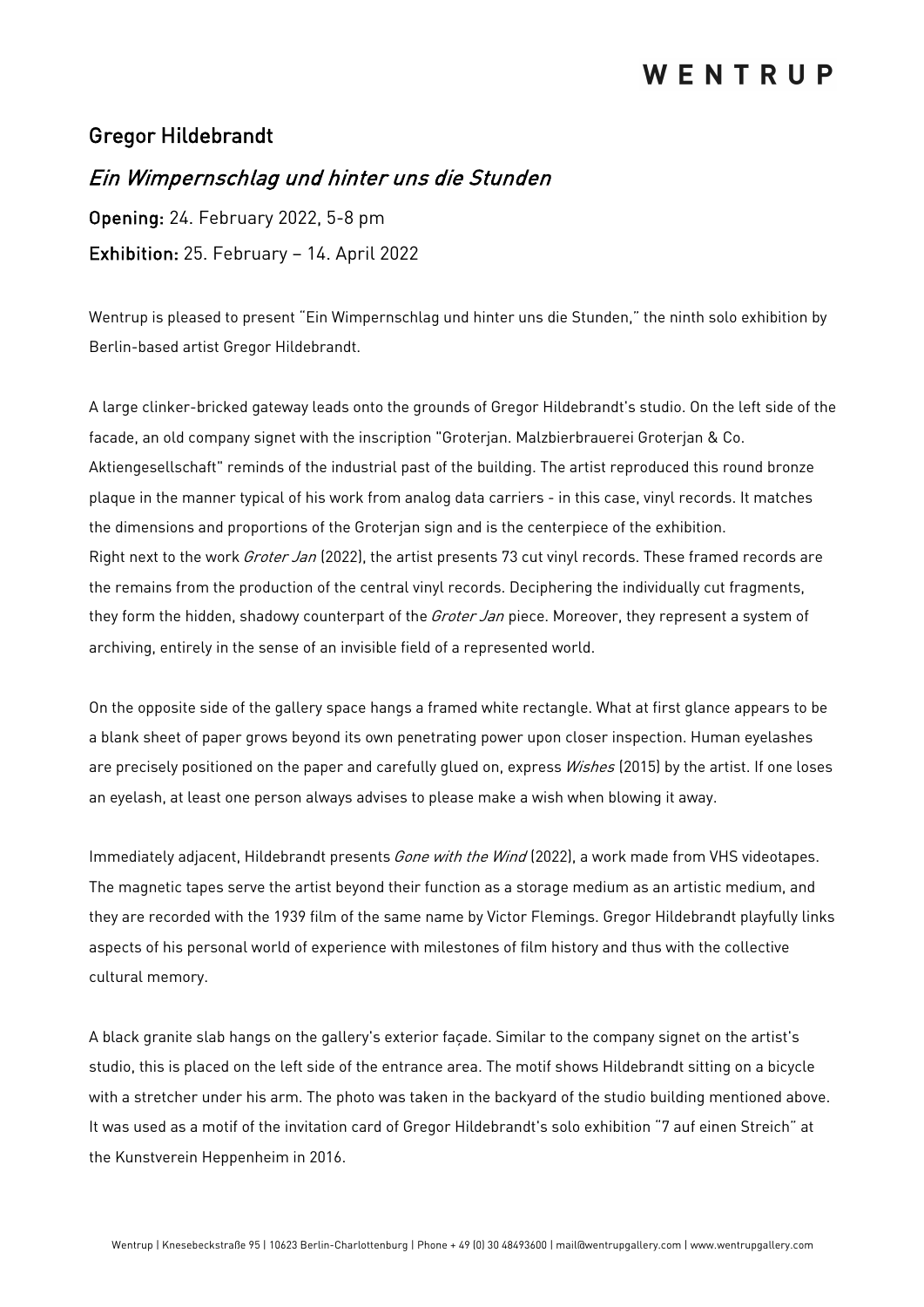## WENTRUP

### Gregor Hildebrandt

### Ein Wimpernschlag und hinter uns die Stunden

Opening: 24. February 2022, 5-8 pm Exhibition: 25. February – 14. April 2022

Wentrup is pleased to present "Ein Wimpernschlag und hinter uns die Stunden," the ninth solo exhibition by Berlin-based artist Gregor Hildebrandt.

A large clinker-bricked gateway leads onto the grounds of Gregor Hildebrandt's studio. On the left side of the facade, an old company signet with the inscription "Groterjan. Malzbierbrauerei Groterjan & Co. Aktiengesellschaft" reminds of the industrial past of the building. The artist reproduced this round bronze plaque in the manner typical of his work from analog data carriers - in this case, vinyl records. It matches the dimensions and proportions of the Groterjan sign and is the centerpiece of the exhibition. Right next to the work *Groter Jan* (2022), the artist presents 73 cut vinyl records. These framed records are the remains from the production of the central vinyl records. Deciphering the individually cut fragments, they form the hidden, shadowy counterpart of the *Groter Jan* piece. Moreover, they represent a system of archiving, entirely in the sense of an invisible field of a represented world.

On the opposite side of the gallery space hangs a framed white rectangle. What at first glance appears to be a blank sheet of paper grows beyond its own penetrating power upon closer inspection. Human eyelashes are precisely positioned on the paper and carefully glued on, express Wishes (2015) by the artist. If one loses an eyelash, at least one person always advises to please make a wish when blowing it away.

Immediately adjacent, Hildebrandt presents Gone with the Wind (2022), a work made from VHS videotapes. The magnetic tapes serve the artist beyond their function as a storage medium as an artistic medium, and they are recorded with the 1939 film of the same name by Victor Flemings. Gregor Hildebrandt playfully links aspects of his personal world of experience with milestones of film history and thus with the collective cultural memory.

A black granite slab hangs on the gallery's exterior façade. Similar to the company signet on the artist's studio, this is placed on the left side of the entrance area. The motif shows Hildebrandt sitting on a bicycle with a stretcher under his arm. The photo was taken in the backyard of the studio building mentioned above. It was used as a motif of the invitation card of Gregor Hildebrandt's solo exhibition "7 auf einen Streich" at the Kunstverein Heppenheim in 2016.